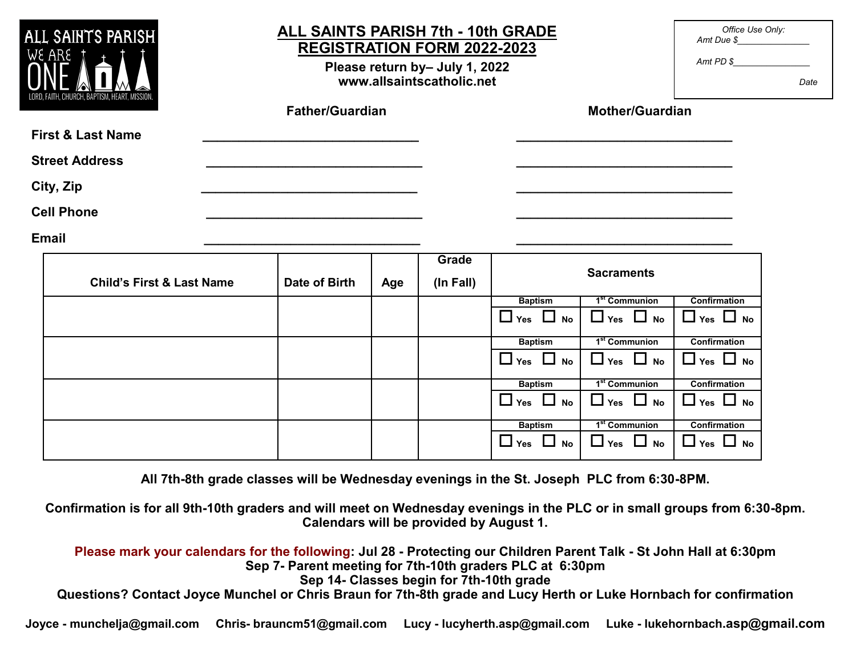| ALL SAINTS PARISH<br>WE ARE |                                      | <b>ALL SAINTS PARISH 7th - 10th GRADE</b><br><b>REGISTRATION FORM 2022-2023</b><br>Please return by- July 1, 2022<br>www.allsaintscatholic.net |                        |     |                    |                         |                           | Office Use Only:<br>Amt Due \$<br>Amt PD \$ | Date |
|-----------------------------|--------------------------------------|------------------------------------------------------------------------------------------------------------------------------------------------|------------------------|-----|--------------------|-------------------------|---------------------------|---------------------------------------------|------|
|                             |                                      |                                                                                                                                                | <b>Father/Guardian</b> |     |                    | <b>Mother/Guardian</b>  |                           |                                             |      |
|                             | <b>First &amp; Last Name</b>         |                                                                                                                                                |                        |     |                    |                         |                           |                                             |      |
|                             | <b>Street Address</b>                |                                                                                                                                                |                        |     |                    |                         |                           |                                             |      |
|                             | City, Zip                            |                                                                                                                                                |                        |     |                    |                         |                           |                                             |      |
|                             | <b>Cell Phone</b>                    |                                                                                                                                                |                        |     |                    |                         |                           |                                             |      |
| <b>Email</b>                |                                      |                                                                                                                                                |                        |     |                    |                         |                           |                                             |      |
|                             | <b>Child's First &amp; Last Name</b> |                                                                                                                                                | Date of Birth          | Age | Grade<br>(In Fall) |                         | <b>Sacraments</b>         |                                             |      |
|                             |                                      |                                                                                                                                                |                        |     |                    | <b>Baptism</b>          | 1 <sup>st</sup> Communion | <b>Confirmation</b>                         |      |
|                             |                                      |                                                                                                                                                |                        |     |                    | $\Box$ Yes<br>$\Box$ No | $\Box$ Yes $\Box$ No      | $\Box$ Yes $\Box$ No                        |      |
|                             |                                      |                                                                                                                                                |                        |     |                    | <b>Baptism</b>          | 1 <sup>st</sup> Communion | Confirmation                                |      |
|                             |                                      |                                                                                                                                                |                        |     |                    | $\Box$ Yes $\Box$ No    | $\Box$ Yes $\Box$ No      | $\Box$ Yes $\Box$ No                        |      |
|                             |                                      |                                                                                                                                                |                        |     |                    | <b>Baptism</b>          | 1 <sup>st</sup> Communion | Confirmation                                |      |
|                             |                                      |                                                                                                                                                |                        |     |                    | $\Box$ Yes $\Box$ No    | $\Box$ Yes $\Box$ No      | $\Box$ Yes $\Box$ No                        |      |
|                             |                                      |                                                                                                                                                |                        |     |                    | <b>Baptism</b>          | 1 <sup>st</sup> Communion | <b>Confirmation</b>                         |      |
|                             |                                      |                                                                                                                                                |                        |     |                    | $\Box$ Yes $\Box$ No    | $\Box$ Yes $\Box$ No      | $\Box$ Yes $\Box$ No                        |      |

**All 7th-8th grade classes will be Wednesday evenings in the St. Joseph PLC from 6:30-8PM.** 

**Confirmation is for all 9th-10th graders and will meet on Wednesday evenings in the PLC or in small groups from 6:30-8pm. Calendars will be provided by August 1.**

**Please mark your calendars for the following: Jul 28 - Protecting our Children Parent Talk - St John Hall at 6:30pm Sep 7- Parent meeting for 7th-10th graders PLC at 6:30pm Sep 14- Classes begin for 7th-10th grade Questions? Contact Joyce Munchel or Chris Braun for 7th-8th grade and Lucy Herth or Luke Hornbach for confirmation**

**Joyce - munchelja@gmail.com Chris- brauncm51@gmail.com Lucy - lucyherth.asp@gmail.com Luke - lukehornbach.asp@gmail.com**